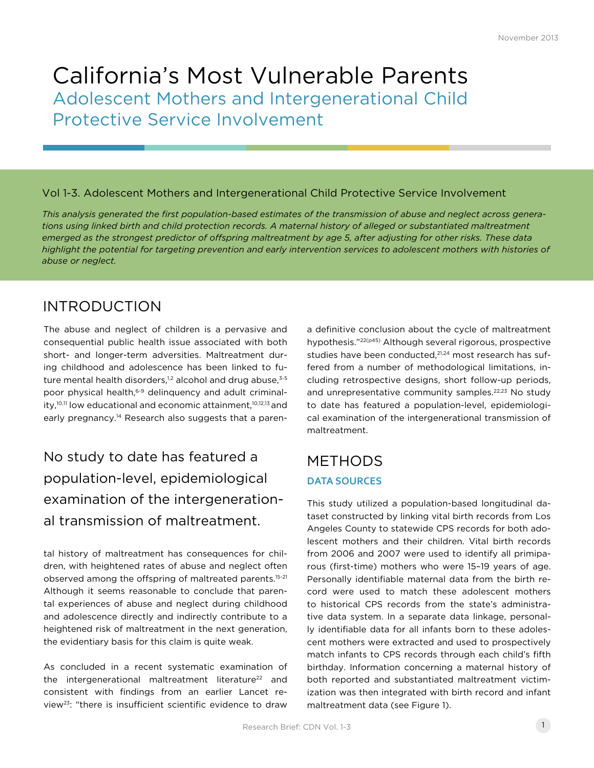# California's Most Vulnerable Parents Adolescent Mothers and Intergenerational Child Protective Service Involvement

## Vol 1-3. Adolescent Mothers and Intergenerational Child Protective Service Involvement

*This analysis generated the first population-based estimates of the transmission of abuse and neglect across generations using linked birth and child protection records. A maternal history of alleged or substantiated maltreatment emerged as the strongest predictor of offspring maltreatment by age 5, after adjusting for other risks. These data highlight the potential for targeting prevention and early intervention services to adolescent mothers with histories of abuse or neglect.*

## INTRODUCTION

The abuse and neglect of children is a pervasive and consequential public health issue associated with both short- and longer-term adversities. Maltreatment during childhood and adolescence has been linked to future mental health disorders, $1,2$  alcohol and drug abuse, $3.5$ poor physical health,<sup>6-9</sup> delinquency and adult criminality,<sup>10,11</sup> low educational and economic attainment,<sup>10,12,13</sup> and early pregnancy.<sup>14</sup> Research also suggests that a paren-

# No study to date has featured a population-level, epidemiological examination of the intergenerational transmission of maltreatment.

tal history of maltreatment has consequences for children, with heightened rates of abuse and neglect often observed among the offspring of maltreated parents.<sup>15-21</sup> Although it seems reasonable to conclude that parental experiences of abuse and neglect during childhood and adolescence directly and indirectly contribute to a heightened risk of maltreatment in the next generation, the evidentiary basis for this claim is quite weak.

As concluded in a recent systematic examination of the intergenerational maltreatment literature<sup>22</sup> and consistent with findings from an earlier Lancet review23: "there is insufficient scientific evidence to draw a definitive conclusion about the cycle of maltreatment hypothesis."22(p45) Although several rigorous, prospective studies have been conducted,<sup>21,24</sup> most research has suffered from a number of methodological limitations, including retrospective designs, short follow-up periods, and unrepresentative community samples.<sup>22,23</sup> No study to date has featured a population-level, epidemiological examination of the intergenerational transmission of maltreatment.

## **DATA SOURCES** METHODS

This study utilized a population-based longitudinal dataset constructed by linking vital birth records from Los Angeles County to statewide CPS records for both adolescent mothers and their children. Vital birth records from 2006 and 2007 were used to identify all primiparous (first-time) mothers who were 15–19 years of age. Personally identifiable maternal data from the birth record were used to match these adolescent mothers to historical CPS records from the state's administrative data system. In a separate data linkage, personally identifiable data for all infants born to these adolescent mothers were extracted and used to prospectively match infants to CPS records through each child's fifth birthday. Information concerning a maternal history of both reported and substantiated maltreatment victimization was then integrated with birth record and infant maltreatment data (see Figure 1).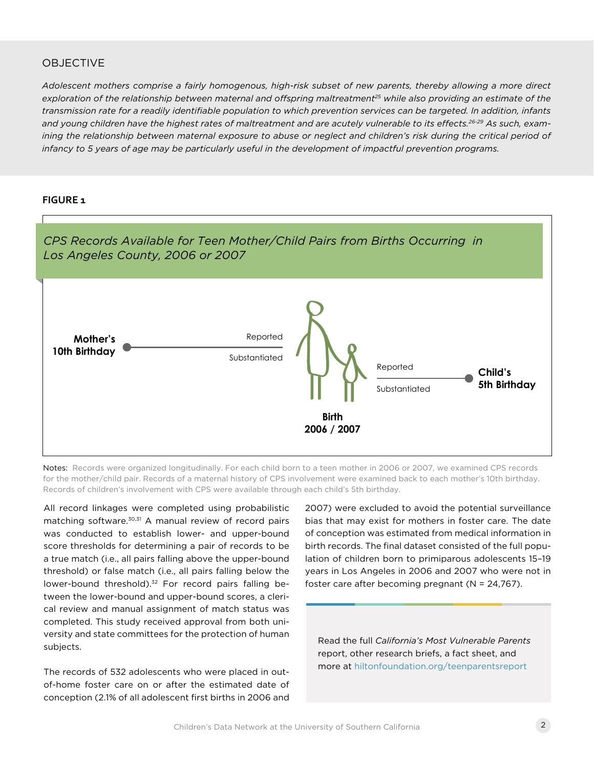## OBJECTIVE

*Adolescent mothers comprise a fairly homogenous, high-risk subset of new parents, thereby allowing a more direct*  exploration of the relationship between maternal and offspring maltreatment<sup>25</sup> while also providing an estimate of the *transmission rate for a readily identifiable population to which prevention services can be targeted. In addition, infants and young children have the highest rates of maltreatment and are acutely vulnerable to its effects.26-29 As such, exam*ining the relationship between maternal exposure to abuse or neglect and children's risk during the critical period of *infancy to 5 years of age may be particularly useful in the development of impactful prevention programs.*

#### **FIGURE 1**



Notes: Records were organized longitudinally. For each child born to a teen mother in 2006 or 2007, we examined CPS records for the mother/child pair. Records of a maternal history of CPS involvement were examined back to each mother's 10th birthday. Records of children's involvement with CPS were available through each child's 5th birthday.

All record linkages were completed using probabilistic matching software.<sup>30,31</sup> A manual review of record pairs was conducted to establish lower- and upper-bound score thresholds for determining a pair of records to be a true match (i.e., all pairs falling above the upper-bound threshold) or false match (i.e., all pairs falling below the lower-bound threshold).<sup>32</sup> For record pairs falling between the lower-bound and upper-bound scores, a clerical review and manual assignment of match status was completed. This study received approval from both university and state committees for the protection of human subjects.

The records of 532 adolescents who were placed in outof-home foster care on or after the estimated date of conception (2.1% of all adolescent first births in 2006 and 2007) were excluded to avoid the potential surveillance bias that may exist for mothers in foster care. The date of conception was estimated from medical information in birth records. The final dataset consisted of the full population of children born to primiparous adolescents 15–19 years in Los Angeles in 2006 and 2007 who were not in foster care after becoming pregnant (N = 24,767).

Read the full *California's Most Vulnerable Parents*  report, other research briefs, a fact sheet, and more at [hiltonfoundation.org/teenparentsreport](http://www.hiltonfoundation.org/teenparentsreport)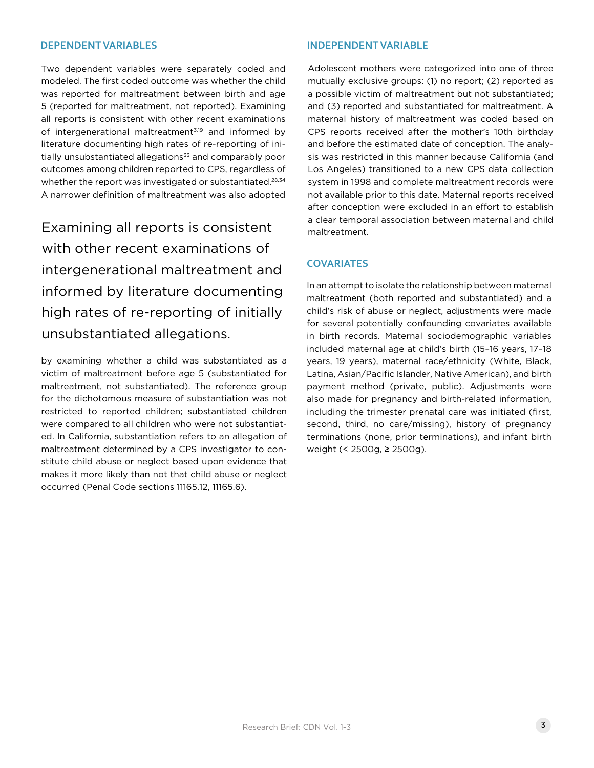### **DEPENDENT VARIABLES INDEPENDENT VARIABLE**

Two dependent variables were separately coded and modeled. The first coded outcome was whether the child was reported for maltreatment between birth and age 5 (reported for maltreatment, not reported). Examining all reports is consistent with other recent examinations of intergenerational maltreatment<sup>3,19</sup> and informed by literature documenting high rates of re-reporting of initially unsubstantiated allegations<sup>33</sup> and comparably poor outcomes among children reported to CPS, regardless of whether the report was investigated or substantiated.<sup>28,34</sup> A narrower definition of maltreatment was also adopted

Examining all reports is consistent with other recent examinations of intergenerational maltreatment and informed by literature documenting high rates of re-reporting of initially unsubstantiated allegations.

by examining whether a child was substantiated as a victim of maltreatment before age 5 (substantiated for maltreatment, not substantiated). The reference group for the dichotomous measure of substantiation was not restricted to reported children; substantiated children were compared to all children who were not substantiated. In California, substantiation refers to an allegation of maltreatment determined by a CPS investigator to constitute child abuse or neglect based upon evidence that makes it more likely than not that child abuse or neglect occurred (Penal Code sections 11165.12, 11165.6).

Adolescent mothers were categorized into one of three mutually exclusive groups: (1) no report; (2) reported as a possible victim of maltreatment but not substantiated; and (3) reported and substantiated for maltreatment. A maternal history of maltreatment was coded based on CPS reports received after the mother's 10th birthday and before the estimated date of conception. The analysis was restricted in this manner because California (and Los Angeles) transitioned to a new CPS data collection system in 1998 and complete maltreatment records were not available prior to this date. Maternal reports received after conception were excluded in an effort to establish a clear temporal association between maternal and child maltreatment.

#### **COVARIATES**

In an attempt to isolate the relationship between maternal maltreatment (both reported and substantiated) and a child's risk of abuse or neglect, adjustments were made for several potentially confounding covariates available in birth records. Maternal sociodemographic variables included maternal age at child's birth (15–16 years, 17–18 years, 19 years), maternal race/ethnicity (White, Black, Latina, Asian/Pacific Islander, Native American), and birth payment method (private, public). Adjustments were also made for pregnancy and birth-related information, including the trimester prenatal care was initiated (first, second, third, no care/missing), history of pregnancy terminations (none, prior terminations), and infant birth weight (< 2500g, ≥ 2500g).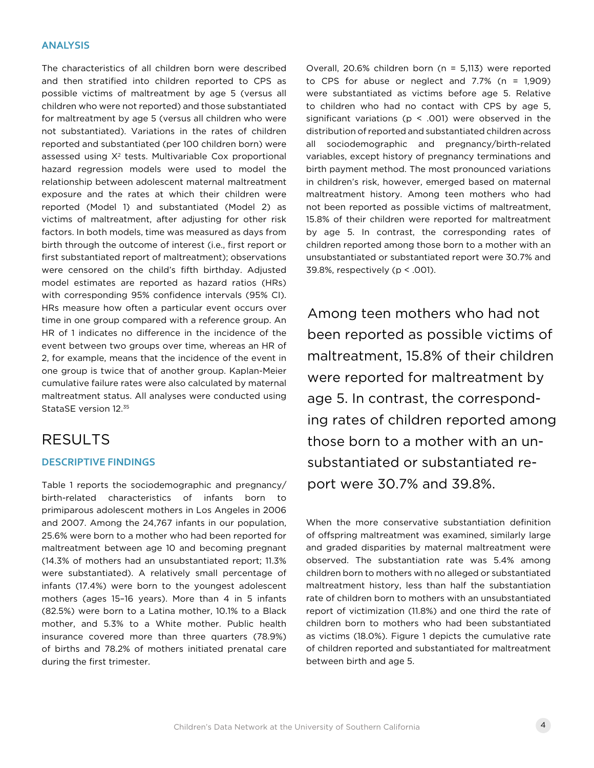### **ANALYSIS**

The characteristics of all children born were described and then stratified into children reported to CPS as possible victims of maltreatment by age 5 (versus all children who were not reported) and those substantiated for maltreatment by age 5 (versus all children who were not substantiated). Variations in the rates of children reported and substantiated (per 100 children born) were assessed using  $X^2$  tests. Multivariable Cox proportional hazard regression models were used to model the relationship between adolescent maternal maltreatment exposure and the rates at which their children were reported (Model 1) and substantiated (Model 2) as victims of maltreatment, after adjusting for other risk factors. In both models, time was measured as days from birth through the outcome of interest (i.e., first report or first substantiated report of maltreatment); observations were censored on the child's fifth birthday. Adjusted model estimates are reported as hazard ratios (HRs) with corresponding 95% confidence intervals (95% CI). HRs measure how often a particular event occurs over time in one group compared with a reference group. An HR of 1 indicates no difference in the incidence of the event between two groups over time, whereas an HR of 2, for example, means that the incidence of the event in one group is twice that of another group. Kaplan-Meier cumulative failure rates were also calculated by maternal maltreatment status. All analyses were conducted using StataSE version 12.35

## RESULTS

## **DESCRIPTIVE FINDINGS**

Table 1 reports the sociodemographic and pregnancy/ birth-related characteristics of infants born to primiparous adolescent mothers in Los Angeles in 2006 and 2007. Among the 24,767 infants in our population, 25.6% were born to a mother who had been reported for maltreatment between age 10 and becoming pregnant (14.3% of mothers had an unsubstantiated report; 11.3% were substantiated). A relatively small percentage of infants (17.4%) were born to the youngest adolescent mothers (ages 15–16 years). More than 4 in 5 infants (82.5%) were born to a Latina mother, 10.1% to a Black mother, and 5.3% to a White mother. Public health insurance covered more than three quarters (78.9%) of births and 78.2% of mothers initiated prenatal care during the first trimester.

Overall, 20.6% children born (n = 5,113) were reported to CPS for abuse or neglect and  $7.7\%$  (n = 1,909) were substantiated as victims before age 5. Relative to children who had no contact with CPS by age 5, significant variations ( $p \le .001$ ) were observed in the distribution of reported and substantiated children across all sociodemographic and pregnancy/birth-related variables, except history of pregnancy terminations and birth payment method. The most pronounced variations in children's risk, however, emerged based on maternal maltreatment history. Among teen mothers who had not been reported as possible victims of maltreatment, 15.8% of their children were reported for maltreatment by age 5. In contrast, the corresponding rates of children reported among those born to a mother with an unsubstantiated or substantiated report were 30.7% and 39.8%, respectively (p < .001).

Among teen mothers who had not been reported as possible victims of maltreatment, 15.8% of their children were reported for maltreatment by age 5. In contrast, the corresponding rates of children reported among those born to a mother with an unsubstantiated or substantiated report were 30.7% and 39.8%.

When the more conservative substantiation definition of offspring maltreatment was examined, similarly large and graded disparities by maternal maltreatment were observed. The substantiation rate was 5.4% among children born to mothers with no alleged or substantiated maltreatment history, less than half the substantiation rate of children born to mothers with an unsubstantiated report of victimization (11.8%) and one third the rate of children born to mothers who had been substantiated as victims (18.0%). Figure 1 depicts the cumulative rate of children reported and substantiated for maltreatment between birth and age 5.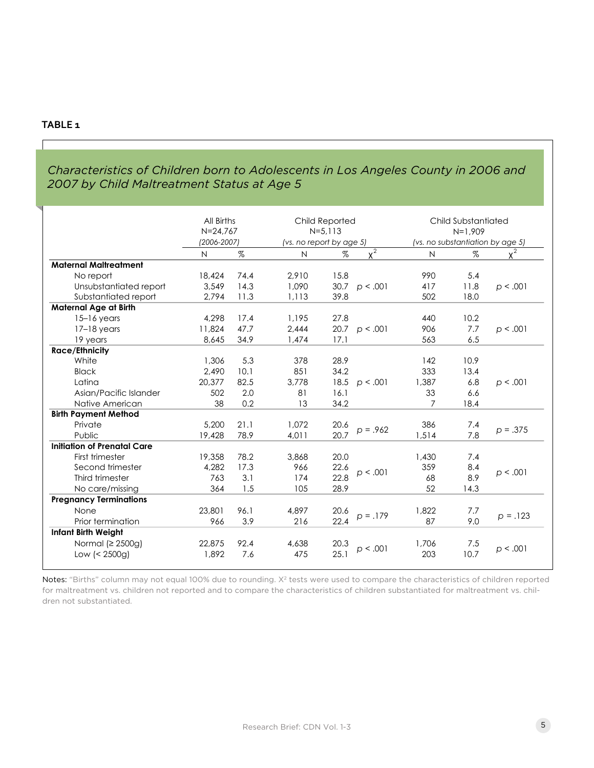## **TABLE 1**

## *Characteristics of Children born to Adolescents in Los Angeles County in 2006 and 2007 by Child Maltreatment Status at Age 5*

|                                    | All Births<br>$N = 24,767$<br>(2006-2007) |      | Child Reported<br>$N = 5.113$<br>(vs. no report by age 5) |      |                       | Child Substantiated<br>$N=1.909$<br>(vs. no substantiation by age 5) |      |            |
|------------------------------------|-------------------------------------------|------|-----------------------------------------------------------|------|-----------------------|----------------------------------------------------------------------|------|------------|
|                                    |                                           |      | $\mathsf{N}$                                              |      | $x^2$                 | $\mathsf{N}$                                                         |      | $x^2$      |
| <b>Maternal Maltreatment</b>       | N                                         | %    |                                                           | %    |                       |                                                                      | %    |            |
|                                    | 18,424                                    | 74.4 | 2,910                                                     | 15.8 |                       | 990                                                                  | 5.4  |            |
| No report                          |                                           | 14.3 |                                                           |      |                       |                                                                      |      |            |
| Unsubstantiated report             | 3,549                                     |      | 1,090                                                     |      | $30.7 \quad p < .001$ | 417                                                                  | 11.8 | p < .001   |
| Substantiated report               | 2,794                                     | 11.3 | 1,113                                                     | 39.8 |                       | 502                                                                  | 18.0 |            |
| <b>Maternal Age at Birth</b>       |                                           |      |                                                           |      |                       |                                                                      |      |            |
| $15-16$ years                      | 4,298                                     | 17.4 | 1,195                                                     | 27.8 |                       | 440                                                                  | 10.2 |            |
| $17-18$ years                      | 11,824                                    | 47.7 | 2.444                                                     |      | 20.7 $p < .001$       | 906                                                                  | 7.7  | p < .001   |
| 19 years                           | 8,645                                     | 34.9 | 1,474                                                     | 17.1 |                       | 563                                                                  | 6.5  |            |
| <b>Race/Ethnicity</b>              |                                           |      |                                                           |      |                       |                                                                      |      |            |
| White                              | 1.306                                     | 5.3  | 378                                                       | 28.9 |                       | 142                                                                  | 10.9 |            |
| <b>Black</b>                       | 2,490                                     | 10.1 | 851                                                       | 34.2 |                       | 333                                                                  | 13.4 |            |
| Latina                             | 20,377                                    | 82.5 | 3,778                                                     | 18.5 | p < .001              | 1,387                                                                | 6.8  | p < .001   |
| Asian/Pacific Islander             | 502                                       | 2.0  | 81                                                        | 16.1 |                       | 33                                                                   | 6.6  |            |
| Native American                    | 38                                        | 0.2  | 13                                                        | 34.2 |                       | $\overline{7}$                                                       | 18.4 |            |
| <b>Birth Payment Method</b>        |                                           |      |                                                           |      |                       |                                                                      |      |            |
| Private                            | 5,200                                     | 21.1 | 1,072                                                     | 20.6 | $p = .962$            | 386                                                                  | 7.4  | $p = .375$ |
| Public                             | 19,428                                    | 78.9 | 4,011                                                     | 20.7 |                       | 1,514                                                                | 7.8  |            |
| <b>Initiation of Prenatal Care</b> |                                           |      |                                                           |      |                       |                                                                      |      |            |
| First trimester                    | 19,358                                    | 78.2 | 3,868                                                     | 20.0 |                       | 1,430                                                                | 7.4  |            |
| Second trimester                   | 4,282                                     | 17.3 | 966                                                       | 22.6 | p < .001              | 359                                                                  | 8.4  | p < .001   |
| Third trimester                    | 763                                       | 3.1  | 174                                                       | 22.8 |                       | 68                                                                   | 8.9  |            |
| No care/missing                    | 364                                       | 1.5  | 105                                                       | 28.9 |                       | 52                                                                   | 14.3 |            |
| <b>Pregnancy Terminations</b>      |                                           |      |                                                           |      |                       |                                                                      |      |            |
| None                               | 23,801                                    | 96.1 | 4,897                                                     | 20.6 |                       | 1,822                                                                | 7.7  | $p = .123$ |
| Prior termination                  | 966                                       | 3.9  | 216                                                       | 22.4 | $p = .179$            | 87                                                                   | 9.0  |            |
| <b>Infant Birth Weight</b>         |                                           |      |                                                           |      |                       |                                                                      |      |            |
| Normal ( $\geq$ 2500g)             | 22,875                                    | 92.4 | 4,638                                                     | 20.3 |                       | 1,706                                                                | 7.5  | p < .001   |
| Low (< 2500g)                      | 1.892                                     | 7.6  | 475                                                       | 25.1 | p < .001              | 203                                                                  | 10.7 |            |

Notes: "Births" column may not equal 100% due to rounding. X<sup>2</sup> tests were used to compare the characteristics of children reported for maltreatment vs. children not reported and to compare the characteristics of children substantiated for maltreatment vs. children not substantiated.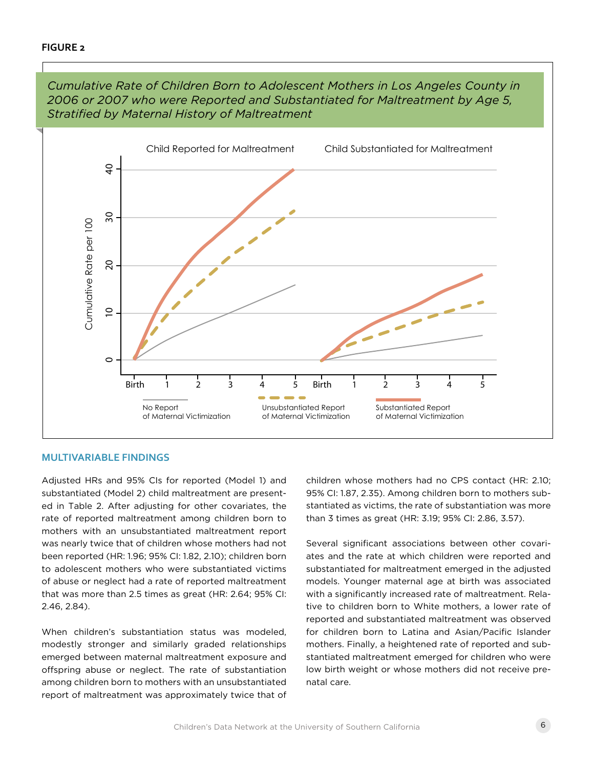

*Cumulative Rate of Children Born to Adolescent Mothers in Los Angeles County in 2006 or 2007 who were Reported and Substantiated for Maltreatment by Age 5, Stratified by Maternal History of Maltreatment*

#### **MULTIVARIABLE FINDINGS**

Adjusted HRs and 95% CIs for reported (Model 1) and substantiated (Model 2) child maltreatment are presented in Table 2. After adjusting for other covariates, the rate of reported maltreatment among children born to mothers with an unsubstantiated maltreatment report was nearly twice that of children whose mothers had not been reported (HR: 1.96; 95% CI: 1.82, 2.10); children born to adolescent mothers who were substantiated victims of abuse or neglect had a rate of reported maltreatment that was more than 2.5 times as great (HR: 2.64; 95% CI: 2.46, 2.84).

When children's substantiation status was modeled, modestly stronger and similarly graded relationships emerged between maternal maltreatment exposure and offspring abuse or neglect. The rate of substantiation among children born to mothers with an unsubstantiated report of maltreatment was approximately twice that of children whose mothers had no CPS contact (HR: 2.10; 95% CI: 1.87, 2.35). Among children born to mothers substantiated as victims, the rate of substantiation was more than 3 times as great (HR: 3.19; 95% CI: 2.86, 3.57).

Several significant associations between other covariates and the rate at which children were reported and substantiated for maltreatment emerged in the adjusted models. Younger maternal age at birth was associated with a significantly increased rate of maltreatment. Relative to children born to White mothers, a lower rate of reported and substantiated maltreatment was observed for children born to Latina and Asian/Pacific Islander mothers. Finally, a heightened rate of reported and substantiated maltreatment emerged for children who were low birth weight or whose mothers did not receive prenatal care.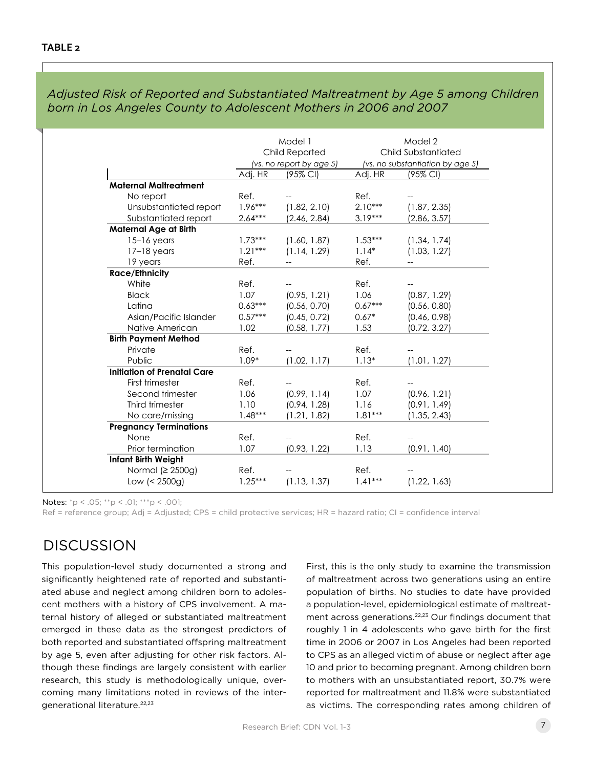|                                    | Model 1<br>Child Reported<br>(vs. no report by age 5) |                | Model 2<br>Child Substantiated<br>(vs. no substantiation by age 5) |                |
|------------------------------------|-------------------------------------------------------|----------------|--------------------------------------------------------------------|----------------|
|                                    |                                                       |                |                                                                    |                |
|                                    |                                                       |                |                                                                    |                |
|                                    | Adj. HR                                               | (95% CI)       | Adj. HR                                                            | (95% CI)       |
| <b>Maternal Maltreatment</b>       |                                                       |                |                                                                    |                |
| Ref.<br>No report                  |                                                       |                | Ref.                                                               |                |
| Unsubstantiated report             | $1.96***$                                             | (1.82, 2.10)   | $2.10***$                                                          | (1.87, 2.35)   |
| Substantiated report               | $2.64***$                                             | (2.46, 2.84)   | $3.19***$                                                          | (2.86, 3.57)   |
| <b>Maternal Age at Birth</b>       |                                                       |                |                                                                    |                |
| $15-16$ years                      | $1.73***$                                             | (1.60, 1.87)   | $1.53***$                                                          | (1.34, 1.74)   |
| $17-18$ years                      | $1.21***$                                             | (1.14, 1.29)   | $1.14*$                                                            | (1.03, 1.27)   |
| 19 years<br>Ref.                   |                                                       | $\overline{a}$ | Ref.                                                               | $\overline{a}$ |
| <b>Race/Ethnicity</b>              |                                                       |                |                                                                    |                |
| White<br>Ref.                      |                                                       |                | Ref.                                                               |                |
| 1.07<br><b>Black</b>               |                                                       | (0.95, 1.21)   | 1.06                                                               | (0.87, 1.29)   |
| Latina                             | $0.63***$                                             | (0.56, 0.70)   | $0.67***$                                                          | (0.56, 0.80)   |
| Asian/Pacific Islander             | $0.57***$                                             | (0.45, 0.72)   | $0.67*$                                                            | (0.46, 0.98)   |
| 1.02<br>Native American            |                                                       | (0.58, 1.77)   | 1.53                                                               | (0.72, 3.27)   |
| <b>Birth Payment Method</b>        |                                                       |                |                                                                    |                |
| Ref.<br>Private                    |                                                       |                | Ref.                                                               |                |
| Public                             | $1.09*$                                               | (1.02, 1.17)   | $1.13*$                                                            | (1.01, 1.27)   |
| <b>Initiation of Prenatal Care</b> |                                                       |                |                                                                    |                |
| First trimester<br>Ref.            |                                                       |                | Ref.                                                               |                |
| 1.06<br>Second trimester           |                                                       | (0.99, 1.14)   | 1.07                                                               | (0.96, 1.21)   |
| 1.10<br>Third trimester            |                                                       | (0.94, 1.28)   | 1.16                                                               | (0.91, 1.49)   |
| No care/missing                    | $1.48***$                                             | (1.21, 1.82)   | $1.81***$                                                          | (1.35, 2.43)   |
| <b>Pregnancy Terminations</b>      |                                                       |                |                                                                    |                |
| Ref.<br>None                       |                                                       |                | Ref.                                                               |                |
| 1.07<br>Prior termination          |                                                       | (0.93, 1.22)   | 1.13                                                               | (0.91, 1.40)   |
| <b>Infant Birth Weight</b>         |                                                       |                |                                                                    |                |
| Normal ( $\geq$ 2500g)<br>Ref.     |                                                       |                | Ref.                                                               |                |
| Low $(2500g)$                      | $1.25***$                                             | (1.13, 1.37)   | $1.41***$                                                          | (1.22, 1.63)   |

*Adjusted Risk of Reported and Substantiated Maltreatment by Age 5 among Children born in Los Angeles County to Adolescent Mothers in 2006 and 2007*

Notes: \*p < .05; \*\*p < .01; \*\*\*p < .001;

Ref = reference group; Adj = Adjusted; CPS = child protective services; HR = hazard ratio; CI = confidence interval

## **DISCUSSION**

This population-level study documented a strong and significantly heightened rate of reported and substantiated abuse and neglect among children born to adolescent mothers with a history of CPS involvement. A maternal history of alleged or substantiated maltreatment emerged in these data as the strongest predictors of both reported and substantiated offspring maltreatment by age 5, even after adjusting for other risk factors. Although these findings are largely consistent with earlier research, this study is methodologically unique, overcoming many limitations noted in reviews of the intergenerational literature.<sup>22,23</sup>

First, this is the only study to examine the transmission of maltreatment across two generations using an entire population of births. No studies to date have provided a population-level, epidemiological estimate of maltreatment across generations.22,23 Our findings document that roughly 1 in 4 adolescents who gave birth for the first time in 2006 or 2007 in Los Angeles had been reported to CPS as an alleged victim of abuse or neglect after age 10 and prior to becoming pregnant. Among children born to mothers with an unsubstantiated report, 30.7% were reported for maltreatment and 11.8% were substantiated as victims. The corresponding rates among children of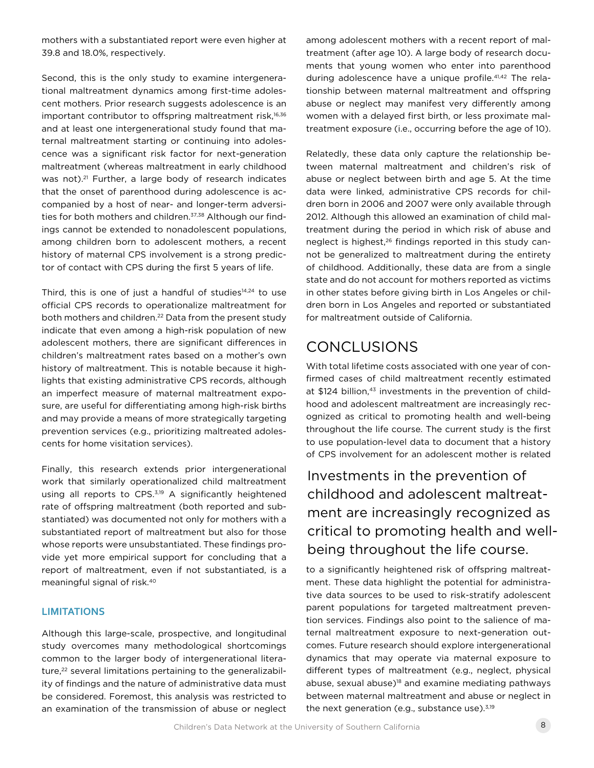mothers with a substantiated report were even higher at 39.8 and 18.0%, respectively.

Second, this is the only study to examine intergenerational maltreatment dynamics among first-time adolescent mothers. Prior research suggests adolescence is an important contributor to offspring maltreatment risk,<sup>16,36</sup> and at least one intergenerational study found that maternal maltreatment starting or continuing into adolescence was a significant risk factor for next-generation maltreatment (whereas maltreatment in early childhood was not).<sup>21</sup> Further, a large body of research indicates that the onset of parenthood during adolescence is accompanied by a host of near- and longer-term adversities for both mothers and children.<sup>37,38</sup> Although our findings cannot be extended to nonadolescent populations, among children born to adolescent mothers, a recent history of maternal CPS involvement is a strong predictor of contact with CPS during the first 5 years of life.

Third, this is one of just a handful of studies<sup>14,24</sup> to use official CPS records to operationalize maltreatment for both mothers and children.<sup>22</sup> Data from the present study indicate that even among a high-risk population of new adolescent mothers, there are significant differences in children's maltreatment rates based on a mother's own history of maltreatment. This is notable because it highlights that existing administrative CPS records, although an imperfect measure of maternal maltreatment exposure, are useful for differentiating among high-risk births and may provide a means of more strategically targeting prevention services (e.g., prioritizing maltreated adolescents for home visitation services).

Finally, this research extends prior intergenerational work that similarly operationalized child maltreatment using all reports to CPS.<sup>3,19</sup> A significantly heightened rate of offspring maltreatment (both reported and substantiated) was documented not only for mothers with a substantiated report of maltreatment but also for those whose reports were unsubstantiated. These findings provide yet more empirical support for concluding that a report of maltreatment, even if not substantiated, is a meaningful signal of risk.40

### **LIMITATIONS**

Although this large-scale, prospective, and longitudinal study overcomes many methodological shortcomings common to the larger body of intergenerational literature,<sup>22</sup> several limitations pertaining to the generalizability of findings and the nature of administrative data must be considered. Foremost, this analysis was restricted to an examination of the transmission of abuse or neglect

among adolescent mothers with a recent report of maltreatment (after age 10). A large body of research documents that young women who enter into parenthood during adolescence have a unique profile.41,42 The relationship between maternal maltreatment and offspring abuse or neglect may manifest very differently among women with a delayed first birth, or less proximate maltreatment exposure (i.e., occurring before the age of 10).

Relatedly, these data only capture the relationship between maternal maltreatment and children's risk of abuse or neglect between birth and age 5. At the time data were linked, administrative CPS records for children born in 2006 and 2007 were only available through 2012. Although this allowed an examination of child maltreatment during the period in which risk of abuse and neglect is highest,<sup>26</sup> findings reported in this study cannot be generalized to maltreatment during the entirety of childhood. Additionally, these data are from a single state and do not account for mothers reported as victims in other states before giving birth in Los Angeles or children born in Los Angeles and reported or substantiated for maltreatment outside of California.

## **CONCLUSIONS**

With total lifetime costs associated with one year of confirmed cases of child maltreatment recently estimated at \$124 billion,<sup>43</sup> investments in the prevention of childhood and adolescent maltreatment are increasingly recognized as critical to promoting health and well-being throughout the life course. The current study is the first to use population-level data to document that a history of CPS involvement for an adolescent mother is related

Investments in the prevention of childhood and adolescent maltreatment are increasingly recognized as critical to promoting health and wellbeing throughout the life course.

to a significantly heightened risk of offspring maltreatment. These data highlight the potential for administrative data sources to be used to risk-stratify adolescent parent populations for targeted maltreatment prevention services. Findings also point to the salience of maternal maltreatment exposure to next-generation outcomes. Future research should explore intergenerational dynamics that may operate via maternal exposure to different types of maltreatment (e.g., neglect, physical abuse, sexual abuse)<sup>18</sup> and examine mediating pathways between maternal maltreatment and abuse or neglect in the next generation (e.g., substance use). $3,19$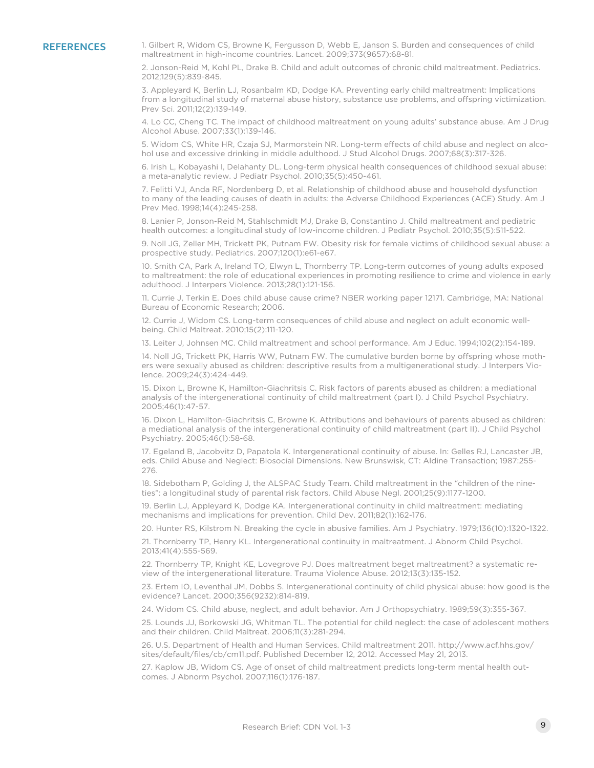REFERENCES 1. Gilbert R, Widom CS, Browne K, Fergusson D, Webb E, Janson S. Burden and consequences of child maltreatment in high-income countries. Lancet. 2009;373(9657):68-81.

> 2. Jonson-Reid M, Kohl PL, Drake B. Child and adult outcomes of chronic child maltreatment. Pediatrics. 2012;129(5):839-845.

3. Appleyard K, Berlin LJ, Rosanbalm KD, Dodge KA. Preventing early child maltreatment: Implications from a longitudinal study of maternal abuse history, substance use problems, and offspring victimization. Prev Sci. 2011;12(2):139-149.

4. Lo CC, Cheng TC. The impact of childhood maltreatment on young adults' substance abuse. Am J Drug Alcohol Abuse. 2007;33(1):139-146.

5. Widom CS, White HR, Czaja SJ, Marmorstein NR. Long-term effects of child abuse and neglect on alcohol use and excessive drinking in middle adulthood. J Stud Alcohol Drugs. 2007;68(3):317-326.

6. Irish L, Kobayashi I, Delahanty DL. Long-term physical health consequences of childhood sexual abuse: a meta-analytic review. J Pediatr Psychol. 2010;35(5):450-461.

7. Felitti VJ, Anda RF, Nordenberg D, et al. Relationship of childhood abuse and household dysfunction to many of the leading causes of death in adults: the Adverse Childhood Experiences (ACE) Study. Am J Prev Med. 1998;14(4):245-258.

8. Lanier P, Jonson-Reid M, Stahlschmidt MJ, Drake B, Constantino J. Child maltreatment and pediatric health outcomes: a longitudinal study of low-income children. J Pediatr Psychol. 2010;35(5):511-522.

9. Noll JG, Zeller MH, Trickett PK, Putnam FW. Obesity risk for female victims of childhood sexual abuse: a prospective study. Pediatrics. 2007;120(1):e61-e67.

10. Smith CA, Park A, Ireland TO, Elwyn L, Thornberry TP. Long-term outcomes of young adults exposed to maltreatment: the role of educational experiences in promoting resilience to crime and violence in early adulthood. J Interpers Violence. 2013;28(1):121-156.

11. Currie J, Terkin E. Does child abuse cause crime? NBER working paper 12171. Cambridge, MA: National Bureau of Economic Research; 2006.

12. Currie J, Widom CS. Long-term consequences of child abuse and neglect on adult economic wellbeing. Child Maltreat. 2010;15(2):111-120.

13. Leiter J, Johnsen MC. Child maltreatment and school performance. Am J Educ. 1994;102(2):154-189.

14. Noll JG, Trickett PK, Harris WW, Putnam FW. The cumulative burden borne by offspring whose mothers were sexually abused as children: descriptive results from a multigenerational study. J Interpers Violence. 2009;24(3):424-449.

15. Dixon L, Browne K, Hamilton-Giachritsis C. Risk factors of parents abused as children: a mediational analysis of the intergenerational continuity of child maltreatment (part I). J Child Psychol Psychiatry. 2005;46(1):47-57.

16. Dixon L, Hamilton-Giachritsis C, Browne K. Attributions and behaviours of parents abused as children: a mediational analysis of the intergenerational continuity of child maltreatment (part II). J Child Psychol Psychiatry. 2005;46(1):58-68.

17. Egeland B, Jacobvitz D, Papatola K. Intergenerational continuity of abuse. In: Gelles RJ, Lancaster JB, eds. Child Abuse and Neglect: Biosocial Dimensions. New Brunswisk, CT: Aldine Transaction; 1987:255- 276.

18. Sidebotham P, Golding J, the ALSPAC Study Team. Child maltreatment in the "children of the nineties": a longitudinal study of parental risk factors. Child Abuse Negl. 2001;25(9):1177-1200.

19. Berlin LJ, Appleyard K, Dodge KA. Intergenerational continuity in child maltreatment: mediating mechanisms and implications for prevention. Child Dev. 2011;82(1):162-176.

20. Hunter RS, Kilstrom N. Breaking the cycle in abusive families. Am J Psychiatry. 1979;136(10):1320-1322.

21. Thornberry TP, Henry KL. Intergenerational continuity in maltreatment. J Abnorm Child Psychol. 2013;41(4):555-569.

22. Thornberry TP, Knight KE, Lovegrove PJ. Does maltreatment beget maltreatment? a systematic review of the intergenerational literature. Trauma Violence Abuse. 2012;13(3):135-152.

23. Ertem IO, Leventhal JM, Dobbs S. Intergenerational continuity of child physical abuse: how good is the evidence? Lancet. 2000;356(9232):814-819.

24. Widom CS. Child abuse, neglect, and adult behavior. Am J Orthopsychiatry. 1989;59(3):355-367.

25. Lounds JJ, Borkowski JG, Whitman TL. The potential for child neglect: the case of adolescent mothers and their children. Child Maltreat. 2006;11(3):281-294.

26. U.S. Department of Health and Human Services. Child maltreatment 2011. http://www.acf.hhs.gov/ sites/default/files/cb/cm11.pdf. Published December 12, 2012. Accessed May 21, 2013.

27. Kaplow JB, Widom CS. Age of onset of child maltreatment predicts long-term mental health outcomes. J Abnorm Psychol. 2007;116(1):176-187.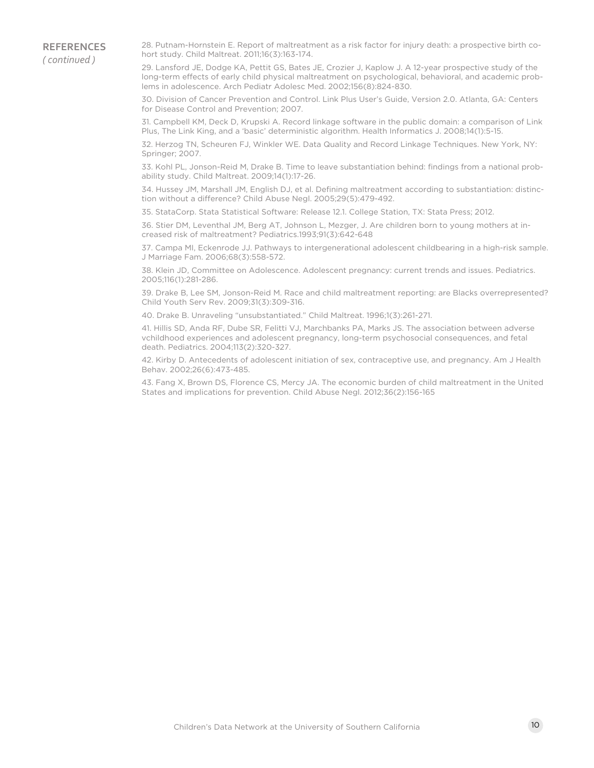**REFERENCES** *( continued )*

28. Putnam-Hornstein E. Report of maltreatment as a risk factor for injury death: a prospective birth cohort study. Child Maltreat. 2011;16(3):163-174.

29. Lansford JE, Dodge KA, Pettit GS, Bates JE, Crozier J, Kaplow J. A 12-year prospective study of the long-term effects of early child physical maltreatment on psychological, behavioral, and academic problems in adolescence. Arch Pediatr Adolesc Med. 2002;156(8):824-830.

30. Division of Cancer Prevention and Control. Link Plus User's Guide, Version 2.0. Atlanta, GA: Centers for Disease Control and Prevention; 2007.

31. Campbell KM, Deck D, Krupski A. Record linkage software in the public domain: a comparison of Link Plus, The Link King, and a 'basic' deterministic algorithm. Health Informatics J. 2008;14(1):5-15.

32. Herzog TN, Scheuren FJ, Winkler WE. Data Quality and Record Linkage Techniques. New York, NY: Springer; 2007.

33. Kohl PL, Jonson-Reid M, Drake B. Time to leave substantiation behind: findings from a national probability study. Child Maltreat. 2009;14(1):17-26.

34. Hussey JM, Marshall JM, English DJ, et al. Defining maltreatment according to substantiation: distinction without a difference? Child Abuse Negl. 2005;29(5):479-492.

35. StataCorp. Stata Statistical Software: Release 12.1. College Station, TX: Stata Press; 2012.

36. Stier DM, Leventhal JM, Berg AT, Johnson L, Mezger, J. Are children born to young mothers at increased risk of maltreatment? Pediatrics.1993;91(3):642-648

37. Campa MI, Eckenrode JJ. Pathways to intergenerational adolescent childbearing in a high-risk sample. J Marriage Fam. 2006;68(3):558-572.

38. Klein JD, Committee on Adolescence. Adolescent pregnancy: current trends and issues. Pediatrics. 2005;116(1):281-286.

39. Drake B, Lee SM, Jonson-Reid M. Race and child maltreatment reporting: are Blacks overrepresented? Child Youth Serv Rev. 2009;31(3):309-316.

40. Drake B. Unraveling "unsubstantiated." Child Maltreat. 1996;1(3):261-271.

41. Hillis SD, Anda RF, Dube SR, Felitti VJ, Marchbanks PA, Marks JS. The association between adverse vchildhood experiences and adolescent pregnancy, long-term psychosocial consequences, and fetal death. Pediatrics. 2004;113(2):320-327.

42. Kirby D. Antecedents of adolescent initiation of sex, contraceptive use, and pregnancy. Am J Health Behav. 2002;26(6):473-485.

43. Fang X, Brown DS, Florence CS, Mercy JA. The economic burden of child maltreatment in the United States and implications for prevention. Child Abuse Negl. 2012;36(2):156-165